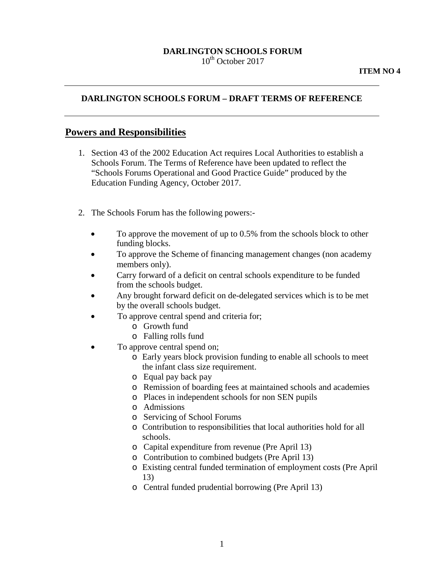### **DARLINGTON SCHOOLS FORUM**  $10^{th}$  October 2017

### **DARLINGTON SCHOOLS FORUM – DRAFT TERMS OF REFERENCE**

### **Powers and Responsibilities**

- 1. Section 43 of the 2002 Education Act requires Local Authorities to establish a Schools Forum. The Terms of Reference have been updated to reflect the "Schools Forums Operational and Good Practice Guide" produced by the Education Funding Agency, October 2017.
- 2. The Schools Forum has the following powers:-
	- To approve the movement of up to 0.5% from the schools block to other funding blocks.
	- To approve the Scheme of financing management changes (non academy members only).
	- Carry forward of a deficit on central schools expenditure to be funded from the schools budget.
	- Any brought forward deficit on de-delegated services which is to be met by the overall schools budget.
	- To approve central spend and criteria for;
		- o Growth fund
		- o Falling rolls fund
	- To approve central spend on;
		- o Early years block provision funding to enable all schools to meet the infant class size requirement.
		- o Equal pay back pay
		- o Remission of boarding fees at maintained schools and academies
		- o Places in independent schools for non SEN pupils
		- o Admissions
		- o Servicing of School Forums
		- o Contribution to responsibilities that local authorities hold for all schools.
		- o Capital expenditure from revenue (Pre April 13)
		- o Contribution to combined budgets (Pre April 13)
		- o Existing central funded termination of employment costs (Pre April 13)
		- o Central funded prudential borrowing (Pre April 13)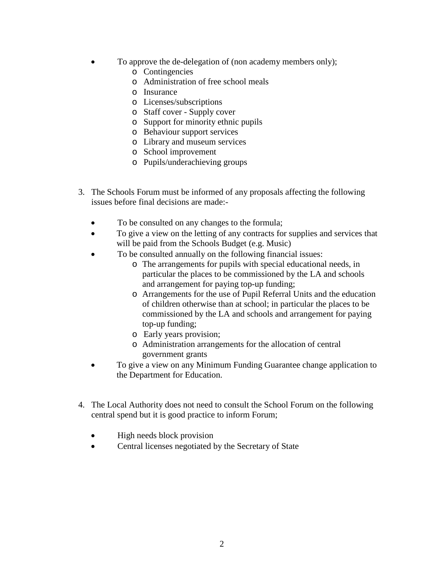- To approve the de-delegation of (non academy members only);
	- o Contingencies
	- o Administration of free school meals
	- o Insurance
	- o Licenses/subscriptions
	- o Staff cover Supply cover
	- o Support for minority ethnic pupils
	- o Behaviour support services
	- o Library and museum services
	- o School improvement
	- o Pupils/underachieving groups
- 3. The Schools Forum must be informed of any proposals affecting the following issues before final decisions are made:-
	- To be consulted on any changes to the formula;
	- To give a view on the letting of any contracts for supplies and services that will be paid from the Schools Budget (e.g. Music)
	- To be consulted annually on the following financial issues:
		- o The arrangements for pupils with special educational needs, in particular the places to be commissioned by the LA and schools and arrangement for paying top-up funding;
		- o Arrangements for the use of Pupil Referral Units and the education of children otherwise than at school; in particular the places to be commissioned by the LA and schools and arrangement for paying top-up funding;
		- o Early years provision;
		- o Administration arrangements for the allocation of central government grants
	- To give a view on any Minimum Funding Guarantee change application to the Department for Education.
- 4. The Local Authority does not need to consult the School Forum on the following central spend but it is good practice to inform Forum;
	- High needs block provision
	- Central licenses negotiated by the Secretary of State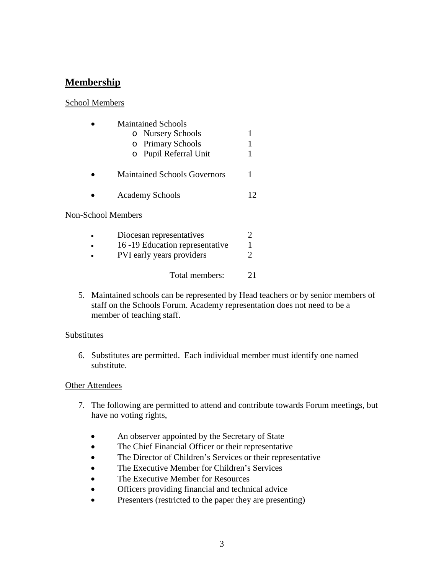# **Membership**

### School Members

| <b>Maintained Schools</b>           |    |
|-------------------------------------|----|
| o Nursery Schools                   |    |
| o Primary Schools                   |    |
| o Pupil Referral Unit               |    |
| <b>Maintained Schools Governors</b> |    |
| <b>Academy Schools</b>              | 12 |
| Non-School Members                  |    |
|                                     |    |

| Diocesan representatives       |    |
|--------------------------------|----|
| 16-19 Education representative | 1  |
| PVI early years providers      |    |
| Total members:                 | 21 |

5. Maintained schools can be represented by Head teachers or by senior members of staff on the Schools Forum. Academy representation does not need to be a member of teaching staff.

### **Substitutes**

6. Substitutes are permitted. Each individual member must identify one named substitute.

### **Other Attendees**

- 7. The following are permitted to attend and contribute towards Forum meetings, but have no voting rights,
	- An observer appointed by the Secretary of State
	- The Chief Financial Officer or their representative
	- The Director of Children's Services or their representative
	- The Executive Member for Children's Services
	- The Executive Member for Resources
	- Officers providing financial and technical advice
	- Presenters (restricted to the paper they are presenting)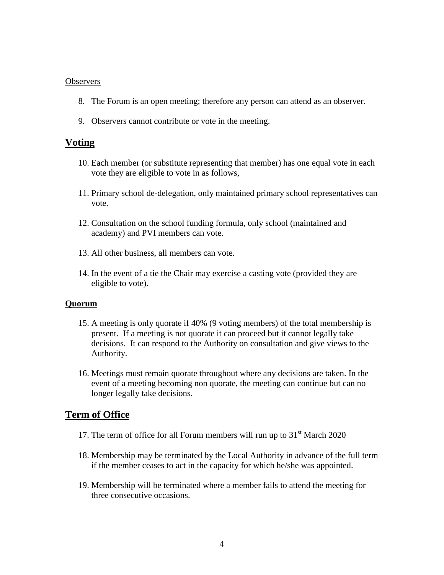#### **Observers**

- 8. The Forum is an open meeting; therefore any person can attend as an observer.
- 9. Observers cannot contribute or vote in the meeting.

### **Voting**

- 10. Each member (or substitute representing that member) has one equal vote in each vote they are eligible to vote in as follows,
- 11. Primary school de-delegation, only maintained primary school representatives can vote.
- 12. Consultation on the school funding formula, only school (maintained and academy) and PVI members can vote.
- 13. All other business, all members can vote.
- 14. In the event of a tie the Chair may exercise a casting vote (provided they are eligible to vote).

#### **Quorum**

- 15. A meeting is only quorate if 40% (9 voting members) of the total membership is present. If a meeting is not quorate it can proceed but it cannot legally take decisions. It can respond to the Authority on consultation and give views to the Authority.
- 16. Meetings must remain quorate throughout where any decisions are taken. In the event of a meeting becoming non quorate, the meeting can continue but can no longer legally take decisions.

## **Term of Office**

- 17. The term of office for all Forum members will run up to  $31<sup>st</sup>$  March 2020
- 18. Membership may be terminated by the Local Authority in advance of the full term if the member ceases to act in the capacity for which he/she was appointed.
- 19. Membership will be terminated where a member fails to attend the meeting for three consecutive occasions.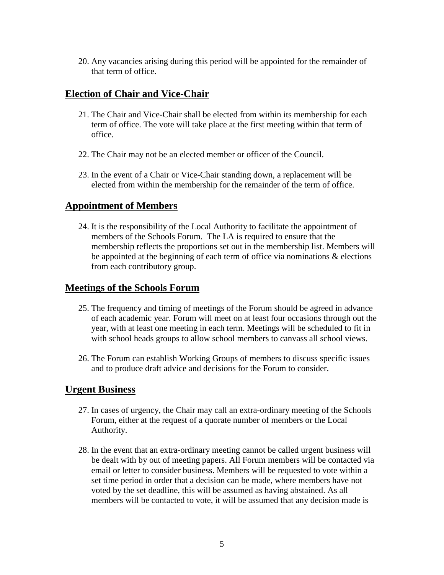20. Any vacancies arising during this period will be appointed for the remainder of that term of office.

## **Election of Chair and Vice-Chair**

- 21. The Chair and Vice-Chair shall be elected from within its membership for each term of office. The vote will take place at the first meeting within that term of office.
- 22. The Chair may not be an elected member or officer of the Council.
- 23. In the event of a Chair or Vice-Chair standing down, a replacement will be elected from within the membership for the remainder of the term of office.

## **Appointment of Members**

24. It is the responsibility of the Local Authority to facilitate the appointment of members of the Schools Forum. The LA is required to ensure that the membership reflects the proportions set out in the membership list. Members will be appointed at the beginning of each term of office via nominations  $\&$  elections from each contributory group.

## **Meetings of the Schools Forum**

- 25. The frequency and timing of meetings of the Forum should be agreed in advance of each academic year. Forum will meet on at least four occasions through out the year, with at least one meeting in each term. Meetings will be scheduled to fit in with school heads groups to allow school members to canvass all school views.
- 26. The Forum can establish Working Groups of members to discuss specific issues and to produce draft advice and decisions for the Forum to consider.

## **Urgent Business**

- 27. In cases of urgency, the Chair may call an extra-ordinary meeting of the Schools Forum, either at the request of a quorate number of members or the Local Authority.
- 28. In the event that an extra-ordinary meeting cannot be called urgent business will be dealt with by out of meeting papers. All Forum members will be contacted via email or letter to consider business. Members will be requested to vote within a set time period in order that a decision can be made, where members have not voted by the set deadline, this will be assumed as having abstained. As all members will be contacted to vote, it will be assumed that any decision made is